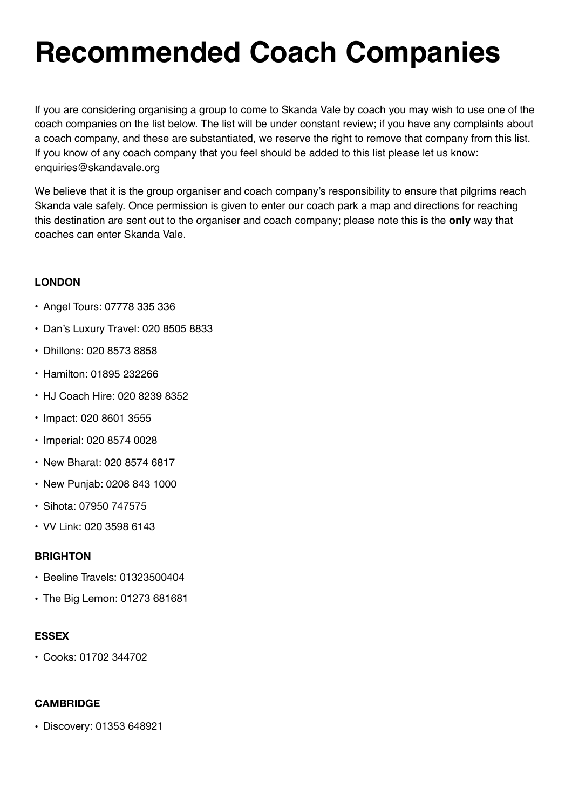# **Recommended Coach Companies**

If you are considering organising a group to come to Skanda Vale by coach you may wish to use one of the coach companies on the list below. The list will be under constant review; if you have any complaints about a coach company, and these are substantiated, we reserve the right to remove that company from this list. If you know of any coach company that you feel should be added to this list please let us know: enquiries@skandavale.org

We believe that it is the group organiser and coach company's responsibility to ensure that pilgrims reach Skanda vale safely. Once permission is given to enter our coach park a map and directions for reaching this destination are sent out to the organiser and coach company; please note this is the **only** way that coaches can enter Skanda Vale.

## **LONDON**

- Angel Tours: 07778 335 336
- Dan's Luxury Travel: 020 8505 8833
- Dhillons: 020 8573 8858
- Hamilton: 01895 232266
- HJ Coach Hire: 020 8239 8352
- Impact: 020 8601 3555
- Imperial: 020 8574 0028
- New Bharat: 020 8574 6817
- New Punjab: 0208 843 1000
- Sihota: 07950 747575
- VV Link: 020 3598 6143

# **BRIGHTON**

- Beeline Travels: 01323500404
- The Big Lemon: 01273 681681

## **ESSEX**

• Cooks: 01702 344702

# **CAMBRIDGE**

• Discovery: 01353 648921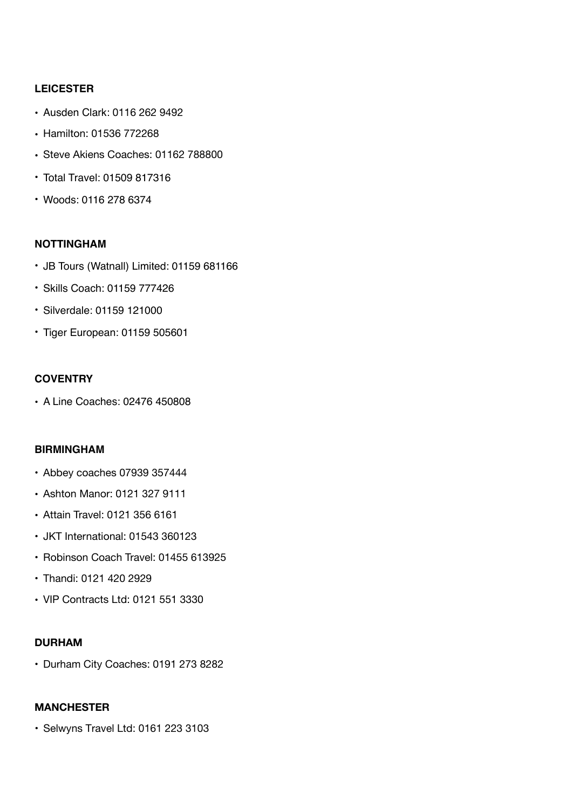#### **LEICESTER**

- Ausden Clark: 0116 262 9492
- Hamilton: 01536 772268
- Steve Akiens Coaches: 01162 788800
- Total Travel: 01509 817316
- Woods: 0116 278 6374

#### **NOTTINGHAM**

- JB Tours (Watnall) Limited: 01159 681166
- Skills Coach: 01159 777426
- Silverdale: 01159 121000
- Tiger European: 01159 505601

#### **COVENTRY**

• A Line Coaches: 02476 450808

#### **BIRMINGHAM**

- Abbey coaches 07939 357444
- Ashton Manor: 0121 327 9111
- Attain Travel: 0121 356 6161
- JKT International: 01543 360123
- Robinson Coach Travel: 01455 613925
- Thandi: 0121 420 2929
- VIP Contracts Ltd: 0121 551 3330

#### **DURHAM**

• Durham City Coaches: 0191 273 8282

#### **MANCHESTER**

• Selwyns Travel Ltd: 0161 223 3103